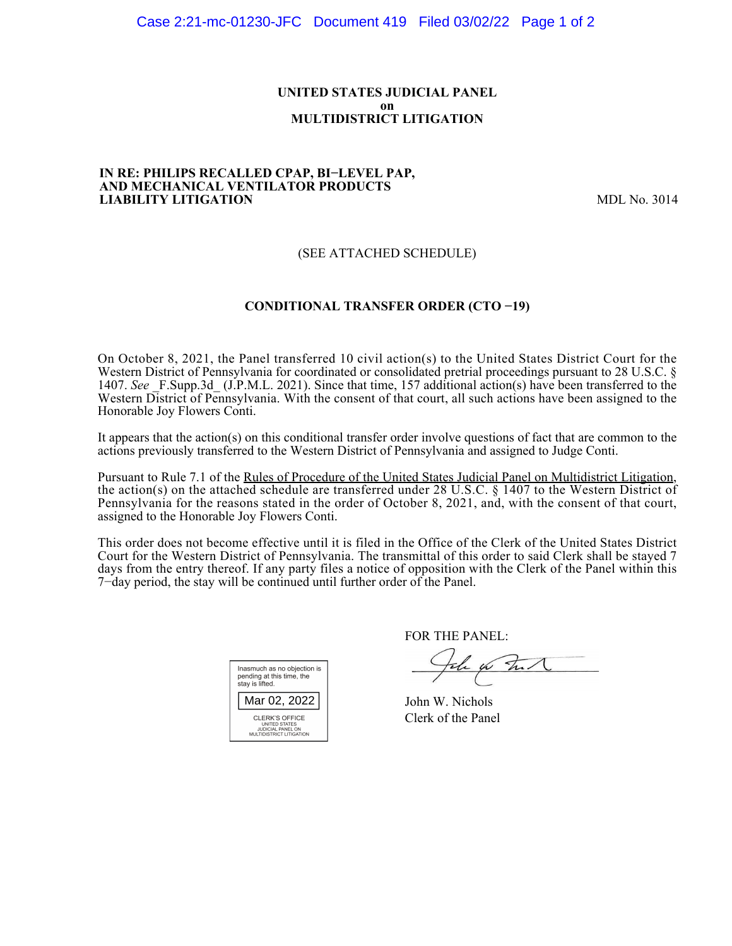### **UNITED STATES JUDICIAL PANEL on MULTIDISTRICT LITIGATION**

### **IN RE: PHILIPS RECALLED CPAP, BI−LEVEL PAP, AND MECHANICAL VENTILATOR PRODUCTS LIABILITY LITIGATION** MDL No. 3014

## (SEE ATTACHED SCHEDULE)

## **CONDITIONAL TRANSFER ORDER (CTO −19)**

On October 8, 2021, the Panel transferred 10 civil action(s) to the United States District Court for the Western District of Pennsylvania for coordinated or consolidated pretrial proceedings pursuant to 28 U.S.C. § 1407. See F.Supp.3d (J.P.M.L. 2021). Since that time, 157 additional action(s) have been transferred to the Western District of Pennsylvania. With the consent of that court, all such actions have been assigned to the Honorable Joy Flowers Conti.

It appears that the action(s) on this conditional transfer order involve questions of fact that are common to the actions previously transferred to the Western District of Pennsylvania and assigned to Judge Conti.

Pursuant to Rule 7.1 of the Rules of Procedure of the United States Judicial Panel on Multidistrict Litigation, the action(s) on the attached schedule are transferred under 28 U.S.C. § 1407 to the Western District of Pennsylvania for the reasons stated in the order of October 8, 2021, and, with the consent of that court, assigned to the Honorable Joy Flowers Conti.

This order does not become effective until it is filed in the Office of the Clerk of the United States District Court for the Western District of Pennsylvania. The transmittal of this order to said Clerk shall be stayed 7 days from the entry thereof. If any party files a notice of opposition with the Clerk of the Panel within this 7−day period, the stay will be continued until further order of the Panel.

| Inasmuch as no objection is<br>pending at this time, the<br>stay is lifted.      |  |  |  |  |
|----------------------------------------------------------------------------------|--|--|--|--|
| Mar 02, 2022                                                                     |  |  |  |  |
| CLERK'S OFFICE<br>UNITED STATES<br>JUDICIAL PANEL ON<br>MULTIDISTRICT LITIGATION |  |  |  |  |

FOR THE PANEL:

the for that

John W. Nichols Clerk of the Panel